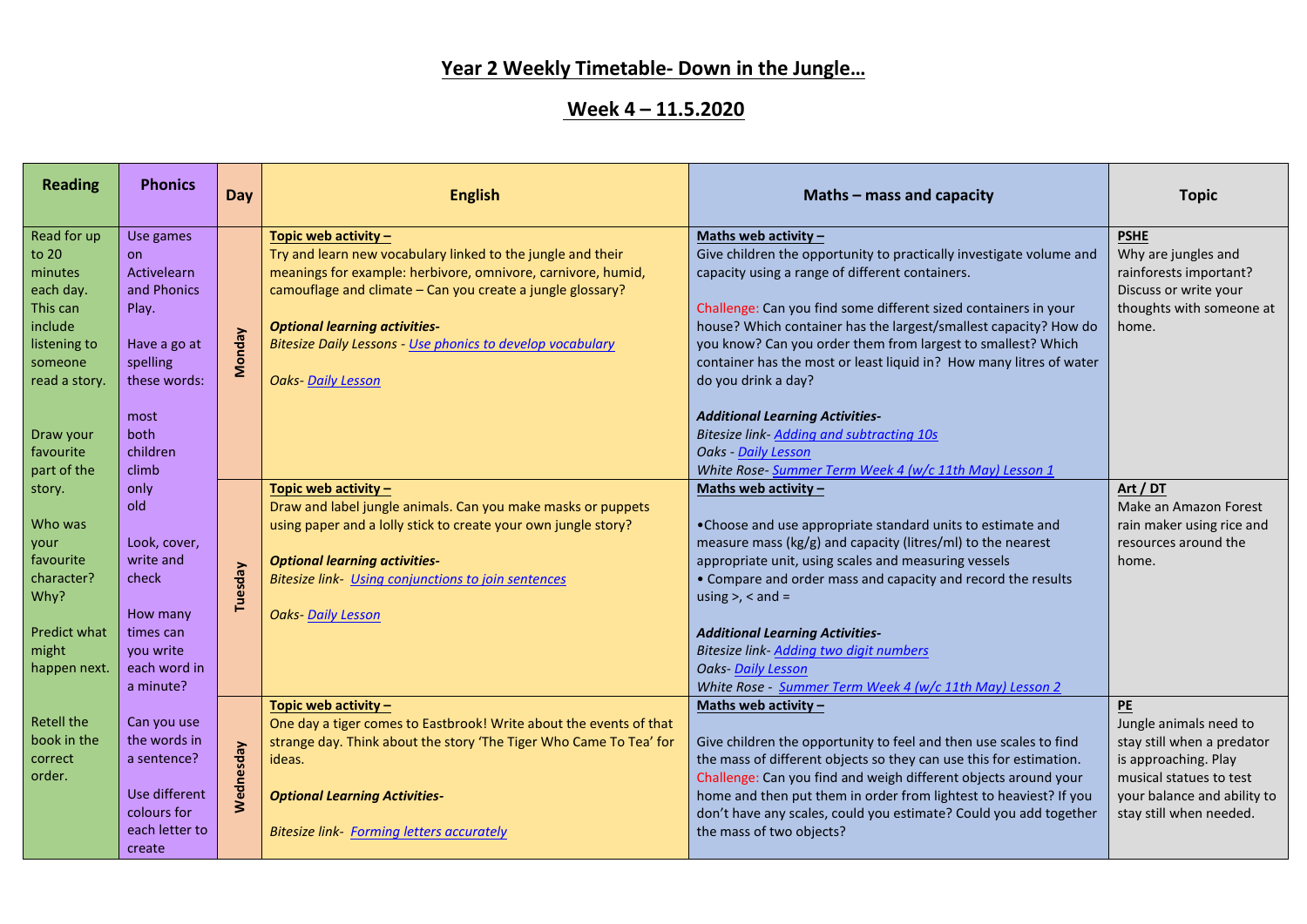## **Year 2 Weekly Timetable- Down in the Jungle…**

## **Week 4 – 11.5.2020**

| <b>Reading</b>                                                                                                  | <b>Phonics</b>                                                                                            | Day           | <b>English</b>                                                                                                                                                                                                                                                                                                                                              | Maths $-$ mass and capacity                                                                                                                                                                                                                                                                                                                                                                                                                           | <b>Topic</b>                                                                                                                                                            |
|-----------------------------------------------------------------------------------------------------------------|-----------------------------------------------------------------------------------------------------------|---------------|-------------------------------------------------------------------------------------------------------------------------------------------------------------------------------------------------------------------------------------------------------------------------------------------------------------------------------------------------------------|-------------------------------------------------------------------------------------------------------------------------------------------------------------------------------------------------------------------------------------------------------------------------------------------------------------------------------------------------------------------------------------------------------------------------------------------------------|-------------------------------------------------------------------------------------------------------------------------------------------------------------------------|
| Read for up<br>to 20<br>minutes<br>each day.<br>This can<br>include<br>listening to<br>someone<br>read a story. | Use games<br><b>on</b><br>Activelearn<br>and Phonics<br>Play.<br>Have a go at<br>spelling<br>these words: | <b>Monday</b> | Topic web activity -<br>Try and learn new vocabulary linked to the jungle and their<br>meanings for example: herbivore, omnivore, carnivore, humid,<br>camouflage and climate - Can you create a jungle glossary?<br><b>Optional learning activities-</b><br><b>Bitesize Daily Lessons - Use phonics to develop vocabulary</b><br><b>Oaks- Daily Lesson</b> | Maths web activity $-$<br>Give children the opportunity to practically investigate volume and<br>capacity using a range of different containers.<br>Challenge: Can you find some different sized containers in your<br>house? Which container has the largest/smallest capacity? How do<br>you know? Can you order them from largest to smallest? Which<br>container has the most or least liquid in? How many litres of water<br>do you drink a day? | <b>PSHE</b><br>Why are jungles and<br>rainforests important?<br>Discuss or write your<br>thoughts with someone at<br>home.                                              |
| Draw your<br>favourite<br>part of the<br>story.<br>Who was<br>your                                              | most<br>both<br>children<br>climb<br>only<br>old<br>Look, cover,                                          |               | Topic web activity -<br>Draw and label jungle animals. Can you make masks or puppets<br>using paper and a lolly stick to create your own jungle story?                                                                                                                                                                                                      | <b>Additional Learning Activities-</b><br>Bitesize link- Adding and subtracting 10s<br>Oaks - Daily Lesson<br>White Rose- Summer Term Week 4 (w/c 11th May) Lesson 1<br>Maths web activity $-$<br>•Choose and use appropriate standard units to estimate and<br>measure mass (kg/g) and capacity (litres/ml) to the nearest                                                                                                                           | Art / DT<br>Make an Amazon Forest<br>rain maker using rice and<br>resources around the                                                                                  |
| favourite<br>character?<br>Why?<br>Predict what<br>might<br>happen next.                                        | write and<br>check<br>How many<br>times can<br>you write<br>each word in<br>a minute?                     | Tuesday       | <b>Optional learning activities-</b><br><b>Bitesize link-</b> Using conjunctions to join sentences<br><b>Oaks-Daily Lesson</b>                                                                                                                                                                                                                              | appropriate unit, using scales and measuring vessels<br>• Compare and order mass and capacity and record the results<br>using $>$ , $<$ and $=$<br><b>Additional Learning Activities-</b><br>Bitesize link- Adding two digit numbers<br><b>Oaks-Daily Lesson</b><br>White Rose - Summer Term Week 4 (w/c 11th May) Lesson 2                                                                                                                           | home.                                                                                                                                                                   |
| <b>Retell the</b><br>book in the<br>correct<br>order.                                                           | Can you use<br>the words in<br>a sentence?<br>Use different<br>colours for<br>each letter to<br>create    | Wednesday     | Topic web activity -<br>One day a tiger comes to Eastbrook! Write about the events of that<br>strange day. Think about the story 'The Tiger Who Came To Tea' for<br>ideas.<br><b>Optional Learning Activities-</b><br><b>Bitesize link- Forming letters accurately</b>                                                                                      | Maths web activity $-$<br>Give children the opportunity to feel and then use scales to find<br>the mass of different objects so they can use this for estimation.<br>Challenge: Can you find and weigh different objects around your<br>home and then put them in order from lightest to heaviest? If you<br>don't have any scales, could you estimate? Could you add together<br>the mass of two objects?                                            | PE<br>Jungle animals need to<br>stay still when a predator<br>is approaching. Play<br>musical statues to test<br>your balance and ability to<br>stay still when needed. |